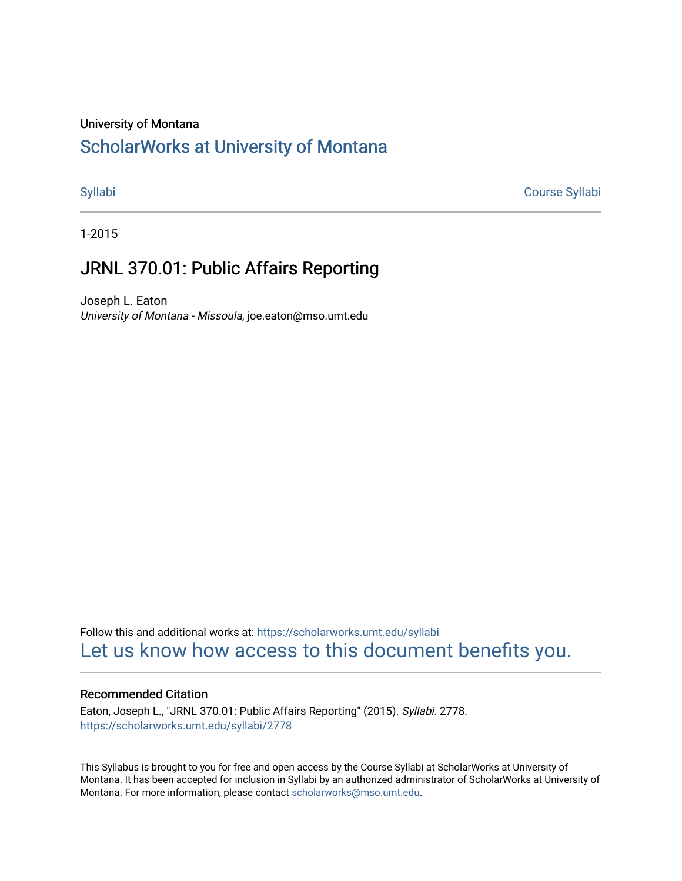## University of Montana

# [ScholarWorks at University of Montana](https://scholarworks.umt.edu/)

[Syllabi](https://scholarworks.umt.edu/syllabi) [Course Syllabi](https://scholarworks.umt.edu/course_syllabi) 

1-2015

# JRNL 370.01: Public Affairs Reporting

Joseph L. Eaton University of Montana - Missoula, joe.eaton@mso.umt.edu

Follow this and additional works at: [https://scholarworks.umt.edu/syllabi](https://scholarworks.umt.edu/syllabi?utm_source=scholarworks.umt.edu%2Fsyllabi%2F2778&utm_medium=PDF&utm_campaign=PDFCoverPages)  [Let us know how access to this document benefits you.](https://goo.gl/forms/s2rGfXOLzz71qgsB2) 

## Recommended Citation

Eaton, Joseph L., "JRNL 370.01: Public Affairs Reporting" (2015). Syllabi. 2778. [https://scholarworks.umt.edu/syllabi/2778](https://scholarworks.umt.edu/syllabi/2778?utm_source=scholarworks.umt.edu%2Fsyllabi%2F2778&utm_medium=PDF&utm_campaign=PDFCoverPages)

This Syllabus is brought to you for free and open access by the Course Syllabi at ScholarWorks at University of Montana. It has been accepted for inclusion in Syllabi by an authorized administrator of ScholarWorks at University of Montana. For more information, please contact [scholarworks@mso.umt.edu.](mailto:scholarworks@mso.umt.edu)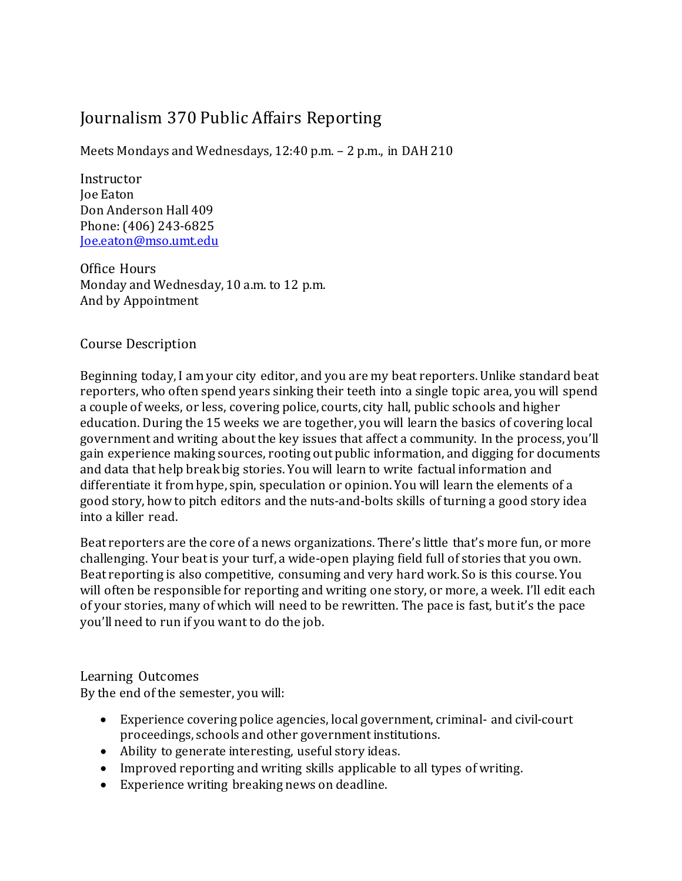# Journalism 370 Public Affairs Reporting

Meets Mondays and Wednesdays, 12:40 p.m. – 2 p.m., in DAH 210

Instructor Joe Eaton Don Anderson Hall 409 Phone: (406) 243-6825 [Joe.eaton@mso.umt.edu](mailto:Joe.eaton@mso.umt.edu)

Office Hours Monday and Wednesday, 10 a.m. to 12 p.m. And by Appointment

Course Description

Beginning today, I am your city editor, and you are my beat reporters. Unlike standard beat reporters, who often spend years sinking their teeth into a single topic area, you will spend a couple of weeks, or less, covering police, courts, city hall, public schools and higher education. During the 15 weeks we are together, you will learn the basics of covering local government and writing about the key issues that affect a community. In the process, you'll gain experience making sources, rooting out public information, and digging for documents and data that help break big stories. You will learn to write factual information and differentiate it from hype, spin, speculation or opinion. You will learn the elements of a good story, how to pitch editors and the nuts-and-bolts skills of turning a good story idea into a killer read.

Beat reporters are the core of a news organizations. There's little that's more fun, or more challenging. Your beat is your turf, a wide-open playing field full of stories that you own. Beat reporting is also competitive, consuming and very hard work. So is this course. You will often be responsible for reporting and writing one story, or more, a week. I'll edit each of your stories, many of which will need to be rewritten. The pace is fast, but it's the pace you'll need to run if you want to do the job.

Learning Outcomes

By the end of the semester, you will:

- Experience covering police agencies, local government, criminal- and civil-court proceedings, schools and other governmentinstitutions.
- Ability to generate interesting, useful story ideas.
- Improved reporting and writing skills applicable to all types of writing.
- Experience writing breaking news on deadline.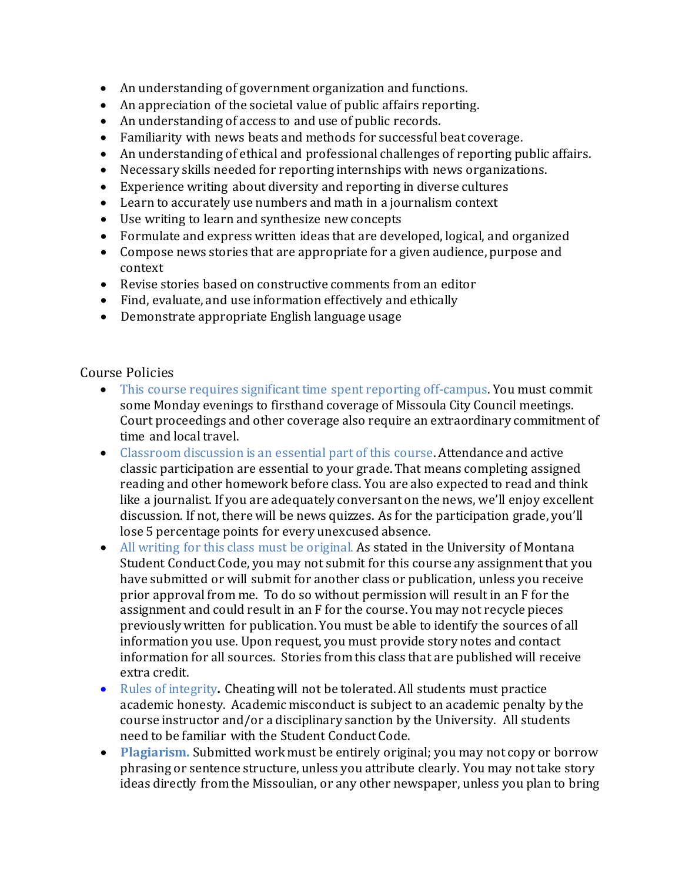- An understanding of government organization and functions.
- An appreciation of the societal value of public affairs reporting.
- An understanding of access to and use of public records.
- Familiarity with news beats and methods for successful beat coverage.
- An understanding of ethical and professional challenges of reporting public affairs.
- Necessary skills needed for reporting internships with news organizations.
- Experience writing about diversity and reporting in diverse cultures
- Learn to accurately use numbers and math in a journalism context
- Use writing to learn and synthesize new concepts
- Formulate and express written ideas that are developed, logical, and organized
- Compose news stories that are appropriate for a given audience, purpose and context
- Revise stories based on constructive comments from an editor
- Find, evaluate, and use information effectively and ethically
- Demonstrate appropriate English language usage

## Course Policies

- This course requires significant time spent reporting off-campus. You must commit some Monday evenings to firsthand coverage of Missoula City Council meetings. Court proceedings and other coverage also require an extraordinary commitment of time and local travel.
- Classroom discussion is an essential part of this course. Attendance and active classic participation are essential to your grade. That means completing assigned reading and other homework before class. You are also expected to read and think like a journalist. If you are adequately conversant on the news, we'll enjoy excellent discussion. If not, there will be news quizzes. As for the participation grade, you'll lose 5 percentage points for every unexcused absence.
- All writing for this class must be original. As stated in the University of Montana Student Conduct Code, you may not submit for this course any assignment that you have submitted or will submit for another class or publication, unless you receive prior approval from me. To do so without permission will result in an F for the assignment and could result in an F for the course. You may not recycle pieces previously written for publication. You must be able to identify the sources of all information you use. Upon request, you must provide story notes and contact information for all sources. Stories from this class that are published will receive extra credit.
- Rules of integrity**.** Cheating will not be tolerated. All students must practice academic honesty. Academic misconduct is subject to an academic penalty by the course instructor and/or a disciplinary sanction by the University. All students need to be familiar with the Student Conduct Code.
- **Plagiarism.** Submitted work must be entirely original; you may not copy or borrow phrasing or sentence structure, unless you attribute clearly. You may not take story ideas directly from the Missoulian, or any other newspaper, unless you plan to bring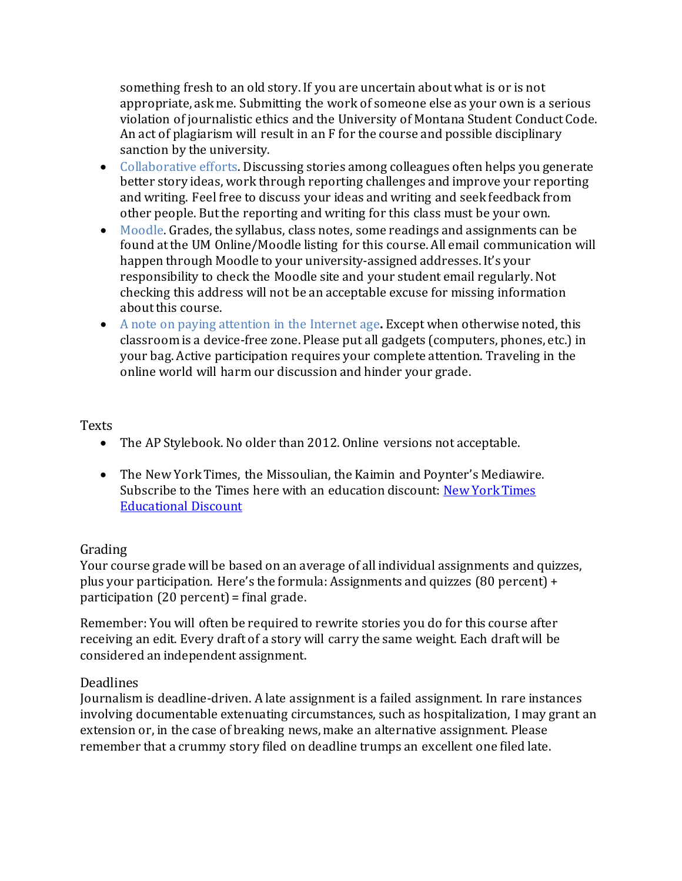something fresh to an old story. If you are uncertain about what is or is not appropriate, ask me. Submitting the work of someone else as your own is a serious violation of journalistic ethics and the University of Montana Student Conduct Code. An act of plagiarism will result in an F for the course and possible disciplinary sanction by the university.

- Collaborative efforts. Discussing stories among colleagues often helps you generate better story ideas, work through reporting challenges and improve your reporting and writing. Feel free to discuss your ideas and writing and seek feedback from other people. But the reporting and writing for this class must be your own.
- Moodle. Grades, the syllabus, class notes, some readings and assignments can be found at the UM Online/Moodle listing for this course. All email communication will happen through Moodle to your university-assigned addresses. It's your responsibility to check the Moodle site and your student email regularly. Not checking this address will not be an acceptable excuse for missing information about this course.
- A note on paying attention in the Internet age**.** Except when otherwise noted, this classroom is a device-free zone. Please put all gadgets (computers, phones, etc.) in your bag. Active participation requires your complete attention. Traveling in the online world will harm our discussion and hinder your grade.

## **Texts**

- The AP Stylebook. No older than 2012. Online versions not acceptable.
- The New York Times, the Missoulian, the Kaimin and Poynter's Mediawire. Subscribe to the Times here with an education discount: [New York Times](http://www.nytimes.com/subscriptions/edu/lp1999.html?campaignId=393W8)  [Educational Discount](http://www.nytimes.com/subscriptions/edu/lp1999.html?campaignId=393W8)

## Grading

Your course grade will be based on an average of all individual assignments and quizzes, plus your participation. Here's the formula: Assignments and quizzes (80 percent) + participation (20 percent) = final grade.

Remember: You will often be required to rewrite stories you do for this course after receiving an edit. Every draft of a story will carry the same weight. Each draft will be considered an independent assignment.

## Deadlines

Journalism is deadline-driven. A late assignment is a failed assignment. In rare instances involving documentable extenuating circumstances, such as hospitalization, I may grant an extension or, in the case of breaking news, make an alternative assignment. Please remember that a crummy story filed on deadline trumps an excellent one filed late.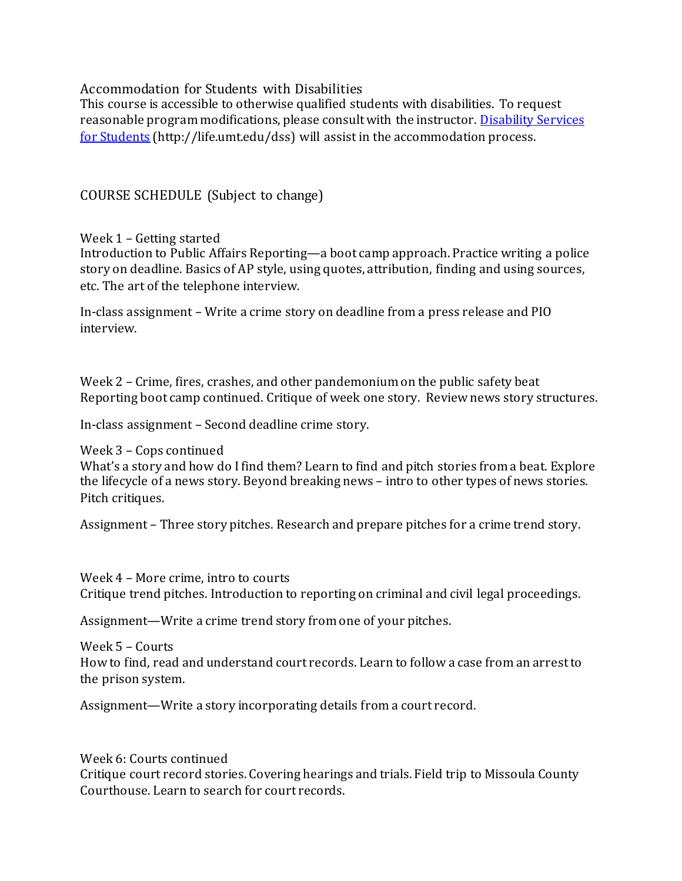Accommodation for Students with Disabilities

This course is accessible to otherwise qualified students with disabilities. To request reasonable program modifications, please consult with the instructor. Disability Services [for Students](http://life.umt.edu/dss) (http://life.umt.edu/dss) will assist in the accommodation process.

COURSE SCHEDULE (Subject to change)

Week 1 – Getting started

Introduction to Public Affairs Reporting—a boot camp approach. Practice writing a police story on deadline. Basics of AP style, using quotes, attribution, finding and using sources, etc. The art of the telephone interview.

In-class assignment – Write a crime story on deadline from a press release and PIO interview.

Week 2 – Crime, fires, crashes, and other pandemonium on the public safety beat Reporting boot camp continued. Critique of week one story. Review news story structures.

In-class assignment – Second deadline crime story.

Week 3 – Cops continued

What's a story and how do I find them? Learn to find and pitch stories from a beat. Explore the lifecycle of a news story. Beyond breaking news – intro to other types of news stories. Pitch critiques.

Assignment – Three story pitches. Research and prepare pitches for a crime trend story.

Week 4 – More crime, intro to courts Critique trend pitches. Introduction to reporting on criminal and civil legal proceedings.

Assignment—Write a crime trend story from one of your pitches.

Week 5 – Courts How to find, read and understand court records. Learn to follow a case from an arrest to the prison system.

Assignment—Write a story incorporating details from a court record.

Week 6: Courts continued Critique court record stories. Covering hearings and trials. Field trip to Missoula County Courthouse. Learn to search for court records.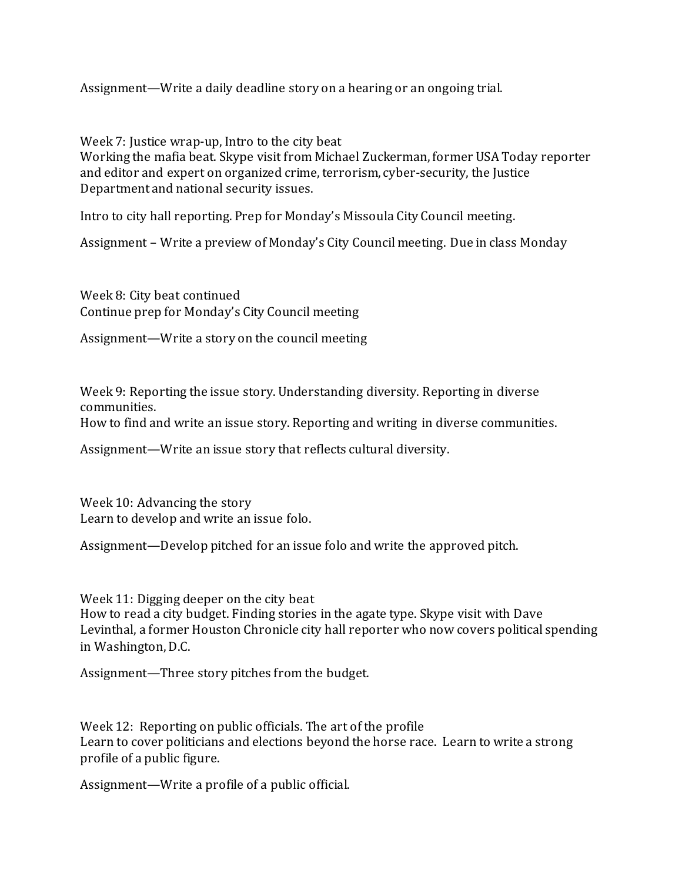Assignment—Write a daily deadline story on a hearing or an ongoing trial.

Week 7: Justice wrap-up, Intro to the city beat

Working the mafia beat. Skype visit from Michael Zuckerman, former USA Today reporter and editor and expert on organized crime, terrorism, cyber-security, the Justice Department and national security issues.

Intro to city hall reporting. Prep for Monday's Missoula City Council meeting.

Assignment – Write a preview of Monday's City Council meeting. Due in class Monday

Week 8: City beat continued Continue prep for Monday's City Council meeting

Assignment—Write a story on the council meeting

Week 9: Reporting the issue story. Understanding diversity. Reporting in diverse communities. How to find and write an issue story. Reporting and writing in diverse communities.

Assignment—Write an issue story that reflects cultural diversity.

Week 10: Advancing the story Learn to develop and write an issue folo.

Assignment—Develop pitched for an issue folo and write the approved pitch.

Week 11: Digging deeper on the city beat How to read a city budget. Finding stories in the agate type. Skype visit with Dave Levinthal, a former Houston Chronicle city hall reporter who now covers political spending in Washington, D.C.

Assignment—Three story pitches from the budget.

Week 12: Reporting on public officials. The art of the profile Learn to cover politicians and elections beyond the horse race. Learn to write a strong profile of a public figure.

Assignment—Write a profile of a public official.